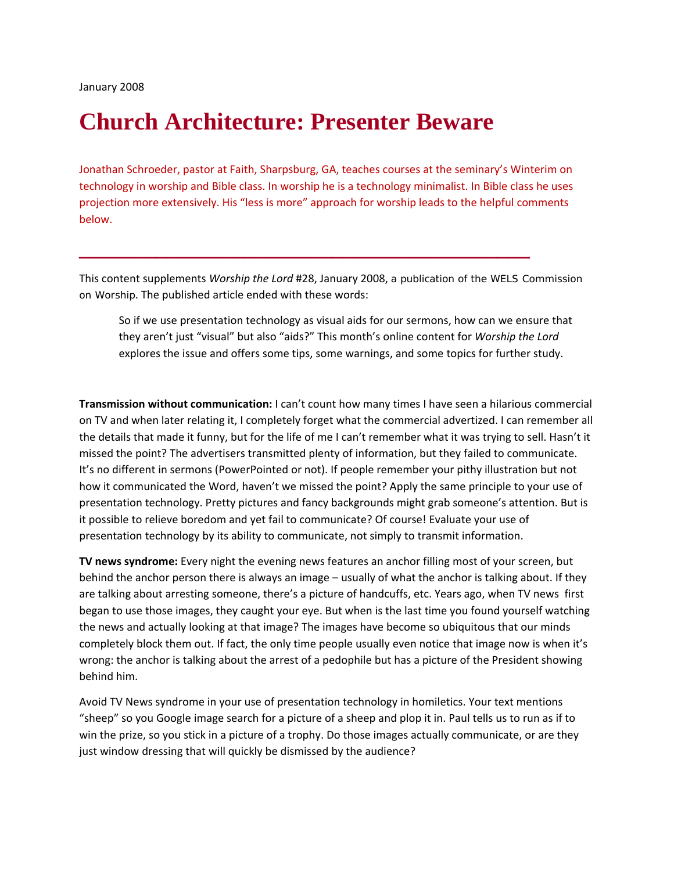## **Church Architecture: Presenter Beware**

Jonathan Schroeder, pastor at Faith, Sharpsburg, GA, teaches courses at the seminary's Winterim on technology in worship and Bible class. In worship he is a technology minimalist. In Bible class he uses projection more extensively. His "less is more" approach for worship leads to the helpful comments below.

**\_\_\_\_\_\_\_\_\_\_\_\_\_\_\_\_\_\_\_\_\_\_\_\_\_\_\_\_\_\_\_\_\_\_\_\_\_\_\_\_\_** 

This content supplements *Worship the Lord* #28, January 2008, a publication of the WELS Commission on Worship. The published article ended with these words:

So if we use presentation technology as visual aids for our sermons, how can we ensure that they aren't just "visual" but also "aids?" This month's online content for *Worship the Lord* explores the issue and offers some tips, some warnings, and some topics for further study.

**Transmission without communication:** I can't count how many times I have seen a hilarious commercial on TV and when later relating it, I completely forget what the commercial advertized. I can remember all the details that made it funny, but for the life of me I can't remember what it was trying to sell. Hasn't it missed the point? The advertisers transmitted plenty of information, but they failed to communicate. It's no different in sermons (PowerPointed or not). If people remember your pithy illustration but not how it communicated the Word, haven't we missed the point? Apply the same principle to your use of presentation technology. Pretty pictures and fancy backgrounds might grab someone's attention. But is it possible to relieve boredom and yet fail to communicate? Of course! Evaluate your use of presentation technology by its ability to communicate, not simply to transmit information.

**TV news syndrome:** Every night the evening news features an anchor filling most of your screen, but behind the anchor person there is always an image – usually of what the anchor is talking about. If they are talking about arresting someone, there's a picture of handcuffs, etc. Years ago, when TV news first began to use those images, they caught your eye. But when is the last time you found yourself watching the news and actually looking at that image? The images have become so ubiquitous that our minds completely block them out. If fact, the only time people usually even notice that image now is when it's wrong: the anchor is talking about the arrest of a pedophile but has a picture of the President showing behind him.

Avoid TV News syndrome in your use of presentation technology in homiletics. Your text mentions "sheep" so you Google image search for a picture of a sheep and plop it in. Paul tells us to run as if to win the prize, so you stick in a picture of a trophy. Do those images actually communicate, or are they just window dressing that will quickly be dismissed by the audience?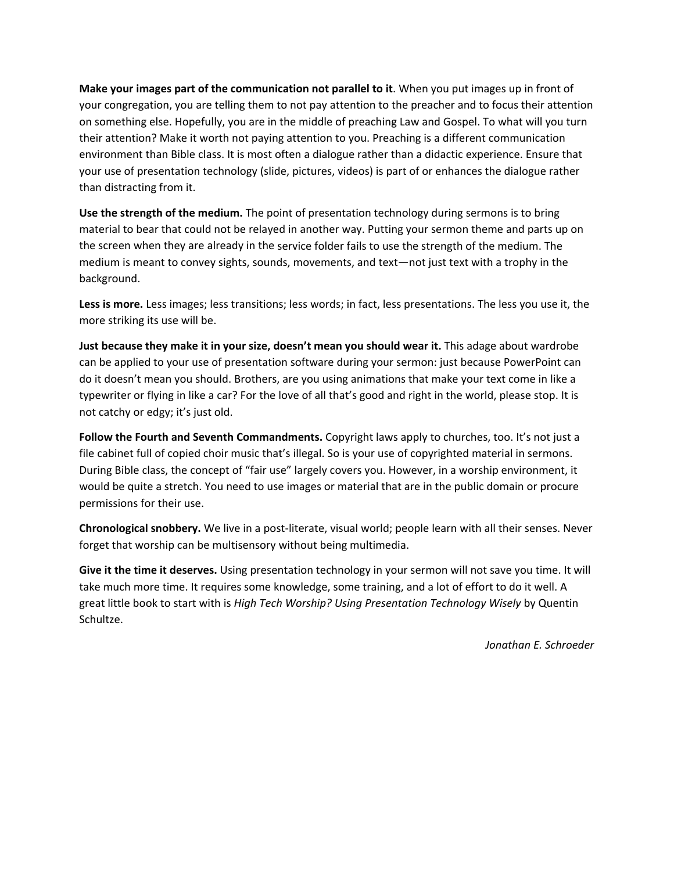**Make your images part of the communication not parallel to it**. When you put images up in front of your congregation, you are telling them to not pay attention to the preacher and to focus their attention on something else. Hopefully, you are in the middle of preaching Law and Gospel. To what will you turn their attention? Make it worth not paying attention to you. Preaching is a different communication environment than Bible class. It is most often a dialogue rather than a didactic experience. Ensure that your use of presentation technology (slide, pictures, videos) is part of or enhances the dialogue rather than distracting from it.

**Use the strength of the medium.** The point of presentation technology during sermons is to bring material to bear that could not be relayed in another way. Putting your sermon theme and parts up on the screen when they are already in the service folder fails to use the strength of the medium. The medium is meant to convey sights, sounds, movements, and text—not just text with a trophy in the background.

**Less is more.** Less images; less transitions; less words; in fact, less presentations. The less you use it, the more striking its use will be.

**Just because they make it in your size, doesn't mean you should wear it.** This adage about wardrobe can be applied to your use of presentation software during your sermon: just because PowerPoint can do it doesn't mean you should. Brothers, are you using animations that make your text come in like a typewriter or flying in like a car? For the love of all that's good and right in the world, please stop. It is not catchy or edgy; it's just old.

**Follow the Fourth and Seventh Commandments.** Copyright laws apply to churches, too. It's not just a file cabinet full of copied choir music that's illegal. So is your use of copyrighted material in sermons. During Bible class, the concept of "fair use" largely covers you. However, in a worship environment, it would be quite a stretch. You need to use images or material that are in the public domain or procure permissions for their use.

**Chronological snobbery.** We live in a post‐literate, visual world; people learn with all their senses. Never forget that worship can be multisensory without being multimedia.

**Give it the time it deserves.** Using presentation technology in your sermon will not save you time. It will take much more time. It requires some knowledge, some training, and a lot of effort to do it well. A great little book to start with is *High Tech Worship? Using Presentation Technology Wisely* by Quentin Schultze.

*Jonathan E. Schroeder*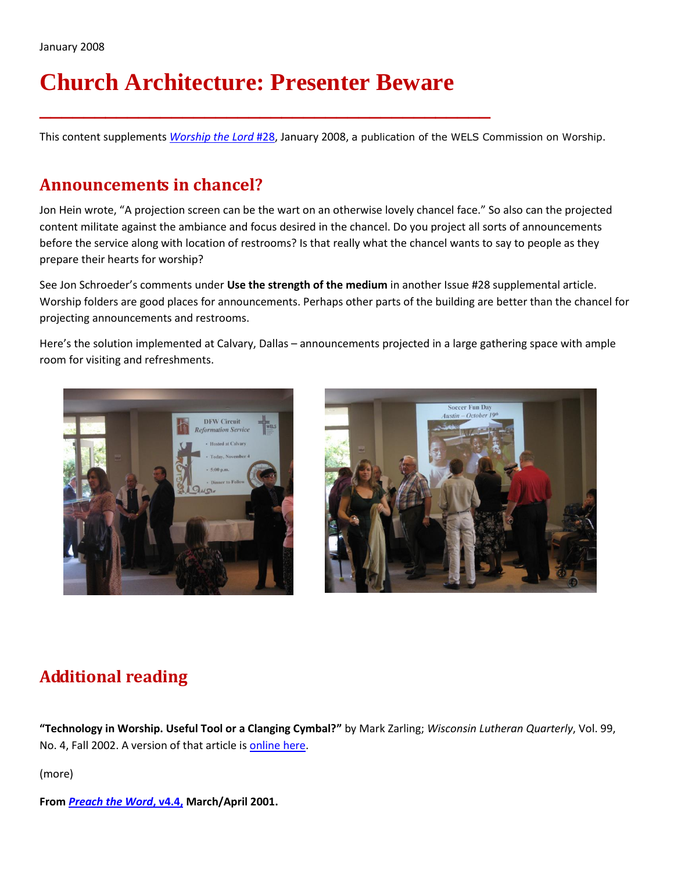# **Church Architecture: Presenter Beware**

**\_\_\_\_\_\_\_\_\_\_\_\_\_\_\_\_\_\_\_\_\_\_\_\_\_\_\_\_\_\_\_\_\_\_\_\_\_\_\_\_\_**

This content supplements *[Worship the Lord](http://www.wels.net/cgi-bin/site.pl?2617&collectionID=904&contentID=82763&shortcutID=27879)* #28, January 2008, a publication of the WELS Commission on Worship.

#### **Announcements in chancel?**

Jon Hein wrote, "A projection screen can be the wart on an otherwise lovely chancel face." So also can the projected content militate against the ambiance and focus desired in the chancel. Do you project all sorts of announcements before the service along with location of restrooms? Is that really what the chancel wants to say to people as they prepare their hearts for worship?

See Jon Schroeder's comments under **Use the strength of the medium** in another Issue #28 supplemental article. Worship folders are good places for announcements. Perhaps other parts of the building are better than the chancel for projecting announcements and restrooms.

Here's the solution implemented at Calvary, Dallas – announcements projected in a large gathering space with ample room for visiting and refreshments.





### **Additional reading**

**"Technology in Worship. Useful Tool or a Clanging Cymbal?"** by Mark Zarling; *Wisconsin Lutheran Quarterly*, Vol. 99, No. 4, Fall 2002. A version of that article i[s online here.](http://www.wels.net/cgi-bin/site.pl?1518&cuItem_itemID=2122&cuTopic_topicID=65)

(more)

**From** *[Preach the Word](http://www.wels.net/s3/uploaded/5894/18b-ptw3-01.pdf)***, v4.4, March/April 2001.**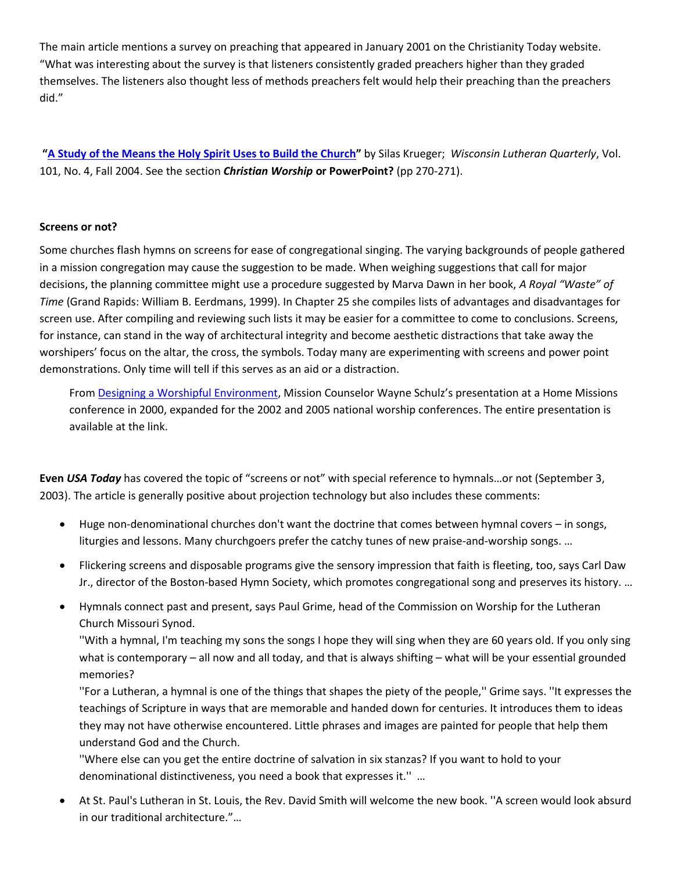The main article mentions a survey on preaching that appeared in January 2001 on the Christianity Today website. "What was interesting about the survey is that listeners consistently graded preachers higher than they graded themselves. The listeners also thought less of methods preachers felt would help their preaching than the preachers did."

**"[A Study of the Means the Holy Spirit Uses to Build the Church](http://www.wels.net/cgi-bin/site.pl?2617&collectionID=765&contentID=40692&shortcutID=16427)"** by Silas Krueger; *Wisconsin Lutheran Quarterly*, Vol. 101, No. 4, Fall 2004. See the section *Christian Worship* **or PowerPoint?** (pp 270-271).

#### **Screens or not?**

Some churches flash hymns on screens for ease of congregational singing. The varying backgrounds of people gathered in a mission congregation may cause the suggestion to be made. When weighing suggestions that call for major decisions, the planning committee might use a procedure suggested by Marva Dawn in her book, *A Royal "Waste" of Time* (Grand Rapids: William B. Eerdmans, 1999). In Chapter 25 she compiles lists of advantages and disadvantages for screen use. After compiling and reviewing such lists it may be easier for a committee to come to conclusions. Screens, for instance, can stand in the way of architectural integrity and become aesthetic distractions that take away the worshipers' focus on the altar, the cross, the symbols. Today many are experimenting with screens and power point demonstrations. Only time will tell if this serves as an aid or a distraction.

From [Designing a Worshipful Environment,](http://www.wels.net/cgi-bin/site.pl?2617&collectionID=803&contentID=82825&shortcutID=27919) Mission Counselor Wayne Schulz's presentation at a Home Missions conference in 2000, expanded for the 2002 and 2005 national worship conferences. The entire presentation is available at the link.

**Even** *USA Today* has covered the topic of "screens or not" with special reference to hymnals…or not (September 3, 2003). The article is generally positive about projection technology but also includes these comments:

- Huge non-denominational churches don't want the doctrine that comes between hymnal covers in songs, liturgies and lessons. Many churchgoers prefer the catchy tunes of new praise-and-worship songs. …
- Flickering screens and disposable programs give the sensory impression that faith is fleeting, too, says Carl Daw Jr., director of the Boston-based Hymn Society, which promotes congregational song and preserves its history. …
- Hymnals connect past and present, says Paul Grime, head of the Commission on Worship for the Lutheran Church Missouri Synod.

''With a hymnal, I'm teaching my sons the songs I hope they will sing when they are 60 years old. If you only sing what is contemporary – all now and all today, and that is always shifting – what will be your essential grounded memories?

''For a Lutheran, a hymnal is one of the things that shapes the piety of the people,'' Grime says. ''It expresses the teachings of Scripture in ways that are memorable and handed down for centuries. It introduces them to ideas they may not have otherwise encountered. Little phrases and images are painted for people that help them understand God and the Church.

''Where else can you get the entire doctrine of salvation in six stanzas? If you want to hold to your denominational distinctiveness, you need a book that expresses it.'' …

 At St. Paul's Lutheran in St. Louis, the Rev. David Smith will welcome the new book. ''A screen would look absurd in our traditional architecture."…